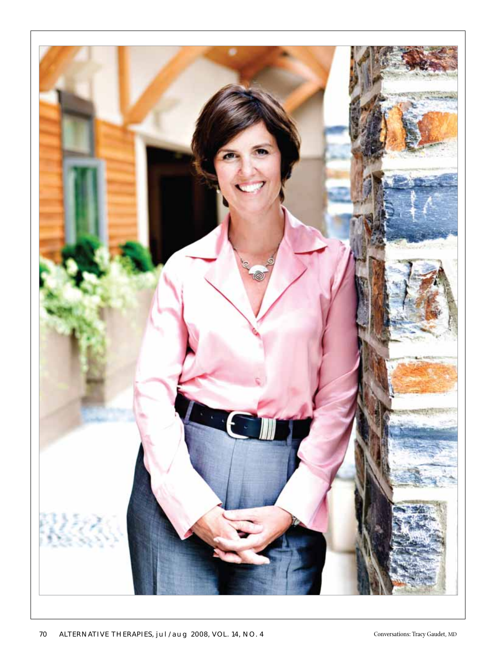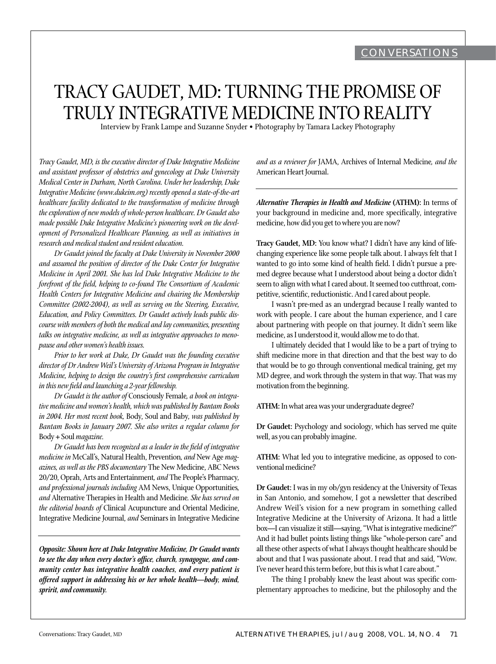## CONVERSATIONS

# TRACY GAUDET, MD: TURNING THE PROMISE OF TRULY INTEGRATIVE MEDICINE INTO REALITY

Interview by Frank Lampe and Suzanne Snyder • Photography by Tamara Lackey Photography

*Tracy Gaudet, MD, is the executive director of Duke Integrative Medicine and assistant professor of obstetrics and gynecology at Duke University Medical Center in Durham, North Carolina. Under her leadership, Duke Integrative Medicine (www.dukeim.org) recently opened a state-of-the-art healthcare facility dedicated to the transformation of medicine through the exploration of new models of whole-person healthcare. Dr Gaudet also made possible Duke Integrative Medicine's pioneering work on the development of Personalized Healthcare Planning, as well as initiatives in research and medical student and resident education.*

*Dr Gaudet joined the faculty at Duke University in November 2000 and assumed the position of director of the Duke Center for Integrative Medicine in April 2001. She has led Duke Integrative Medicine to the forefront of the field, helping to co-found The Consortium of Academic Health Centers for Integrative Medicine and chairing the Membership Committee (2002-2004), as well as serving on the Steering, Executive, Education, and Policy Committees. Dr Gaudet actively leads public discourse with members of both the medical and lay communities, presenting talks on integrative medicine, as well as integrative approaches to menopause and other women's health issues.* 

*Prior to her work at Duke, Dr Gaudet was the founding executive director of Dr Andrew Weil's University of Arizona Program in Integrative Medicine, helping to design the country's first comprehensive curriculum* in this new field and launching a 2-year fellowship.

*Dr Gaudet is the author of* Consciously Female*, a book on integrative medicine and women's health, which was published by Bantam Books in 2004. Her most recent book,* Body, Soul and Baby*, was published by Bantam Books in January 2007. She also writes a regular column for*  Body + Soul *magazine.*

*Dr Gaudet has been recognized as a leader in the field of integrative medicine in* McCall's, Natural Health, Prevention*, and* New Age *magazines, as well as the PBS documentary* The New Medicine, ABC News 20/20, Oprah, Arts and Entertainment*, and* The People's Pharmacy*, and professional journals including* AM News, Unique Opportunities*, and* Alternative Therapies in Health and Medicine*. She has served on the editorial boards of* Clinical Acupuncture and Oriental Medicine, Integrative Medicine Journal, *and* Seminars in Integrative Medicine

*Opposite: Shown here at Duke Integrative Medicine, Dr Gaudet wants*  to see the day when every doctor's office, church, synagogue, and com*munity center has integrative health coaches, and every patient is offered support in addressing his or her whole health—body, mind, spririt, and community.*

*and as a reviewer for* JAMA, Archives of Internal Medicine*, and the*  American Heart Journal.

*Alternative Therapies in Health and Medicine* **(ATHM):** In terms of your background in medicine and, more specifically, integrative medicine, how did you get to where you are now?

**Tracy Gaudet, MD:** You know what? I didn't have any kind of lifechanging experience like some people talk about. I always felt that I wanted to go into some kind of health field. I didn't pursue a premed degree because what I understood about being a doctor didn't seem to align with what I cared about. It seemed too cutthroat, competitive, scientific, reductionistic. And I cared about people.

I wasn't pre-med as an undergrad because I really wanted to work with people. I care about the human experience, and I care about partnering with people on that journey. It didn't seem like medicine, as I understood it, would allow me to do that.

I ultimately decided that I would like to be a part of trying to shift medicine more in that direction and that the best way to do that would be to go through conventional medical training, get my MD degree, and work through the system in that way. That was my motivation from the beginning.

**ATHM:** In what area was your undergraduate degree?

**Dr Gaudet:** Psychology and sociology, which has served me quite well, as you can probably imagine.

**ATHM:** What led you to integrative medicine, as opposed to conventional medicine?

**Dr Gaudet:** I was in my ob/gyn residency at the University of Texas in San Antonio, and somehow, I got a newsletter that described Andrew Weil's vision for a new program in something called Integrative Medicine at the University of Arizona. It had a little box—I can visualize it still—saying, "What is integrative medicine?" And it had bullet points listing things like "whole-person care" and all these other aspects of what I always thought healthcare should be about and that I was passionate about. I read that and said, "Wow. I've never heard this term before, but this is what I care about."

The thing I probably knew the least about was specific complementary approaches to medicine, but the philosophy and the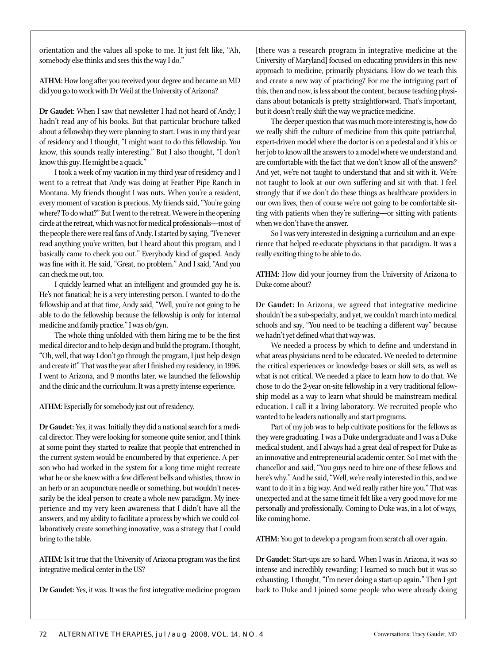orientation and the values all spoke to me. It just felt like, "Ah, somebody else thinks and sees this the way I do."

**ATHM:** How long after you received your degree and became an MD did you go to work with Dr Weil at the University of Arizona?

**Dr Gaudet:** When I saw that newsletter I had not heard of Andy; I hadn't read any of his books. But that particular brochure talked about a fellowship they were planning to start. I was in my third year of residency and I thought, "I might want to do this fellowship. You know, this sounds really interesting." But I also thought, "I don't know this guy. He might be a quack."

I took a week of my vacation in my third year of residency and I went to a retreat that Andy was doing at Feather Pipe Ranch in Montana. My friends thought I was nuts. When you're a resident, every moment of vacation is precious. My friends said, "You're going where? To do what?" But I went to the retreat. We were in the opening circle at the retreat, which was not for medical professionals—most of the people there were real fans of Andy. I started by saying, "I've never read anything you've written, but I heard about this program, and I basically came to check you out." Everybody kind of gasped. Andy was fine with it. He said, "Great, no problem." And I said, "And you can check me out, too.

I quickly learned what an intelligent and grounded guy he is. He's not fanatical; he is a very interesting person. I wanted to do the fellowship and at that time, Andy said, "Well, you're not going to be able to do the fellowship because the fellowship is only for internal medicine and family practice." I was ob/gyn.

The whole thing unfolded with them hiring me to be the first medical director and to help design and build the program. I thought, "Oh, well, that way I don't go through the program, I just help design and create it!" That was the year after I finished my residency, in 1996. I went to Arizona, and 9 months later, we launched the fellowship and the clinic and the curriculum. It was a pretty intense experience.

**ATHM:** Especially for somebody just out of residency.

**Dr Gaudet:** Yes, it was. Initially they did a national search for a medical director. They were looking for someone quite senior, and I think at some point they started to realize that people that entrenched in the current system would be encumbered by that experience. A person who had worked in the system for a long time might recreate what he or she knew with a few different bells and whistles, throw in an herb or an acupuncture needle or something, but wouldn't necessarily be the ideal person to create a whole new paradigm. My inexperience and my very keen awareness that I didn't have all the answers, and my ability to facilitate a process by which we could collaboratively create something innovative, was a strategy that I could bring to the table.

ATHM: Is it true that the University of Arizona program was the first integrative medical center in the US?

**Dr Gaudet:** Yes, it was. It was the first integrative medicine program

[there was a research program in integrative medicine at the University of Maryland] focused on educating providers in this new approach to medicine, primarily physicians. How do we teach this and create a new way of practicing? For me the intriguing part of this, then and now, is less about the content, because teaching physicians about botanicals is pretty straightforward. That's important, but it doesn't really shift the way we practice medicine.

The deeper question that was much more interesting is, how do we really shift the culture of medicine from this quite patriarchal, expert-driven model where the doctor is on a pedestal and it's his or her job to know all the answers to a model where we understand and are comfortable with the fact that we don't know all of the answers? And yet, we're not taught to understand that and sit with it. We're not taught to look at our own suffering and sit with that. I feel strongly that if we don't do these things as healthcare providers in our own lives, then of course we're not going to be comfortable sitting with patients when they're suffering—or sitting with patients when we don't have the answer.

So I was very interested in designing a curriculum and an experience that helped re-educate physicians in that paradigm. It was a really exciting thing to be able to do.

**ATHM:** How did your journey from the University of Arizona to Duke come about?

**Dr Gaudet:** In Arizona, we agreed that integrative medicine shouldn't be a sub-specialty, and yet, we couldn't march into medical schools and say, "You need to be teaching a different way" because we hadn't yet defined what that way was.

We needed a process by which to define and understand in what areas physicians need to be educated. We needed to determine the critical experiences or knowledge bases or skill sets, as well as what is not critical. We needed a place to learn how to do that. We chose to do the 2-year on-site fellowship in a very traditional fellowship model as a way to learn what should be mainstream medical education. I call it a living laboratory. We recruited people who wanted to be leaders nationally and start programs.

Part of my job was to help cultivate positions for the fellows as they were graduating. I was a Duke undergraduate and I was a Duke medical student, and I always had a great deal of respect for Duke as an innovative and entrepreneurial academic center. So I met with the chancellor and said, "You guys need to hire one of these fellows and here's why." And he said, "Well, we're really interested in this, and we want to do it in a big way. And we'd really rather hire you." That was unexpected and at the same time it felt like a very good move for me personally and professionally. Coming to Duke was, in a lot of ways, like coming home.

**ATHM:** You got to develop a program from scratch all over again.

**Dr Gaudet:** Start-ups are so hard. When I was in Arizona, it was so intense and incredibly rewarding; I learned so much but it was so exhausting. I thought, "I'm never doing a start-up again." Then I got back to Duke and I joined some people who were already doing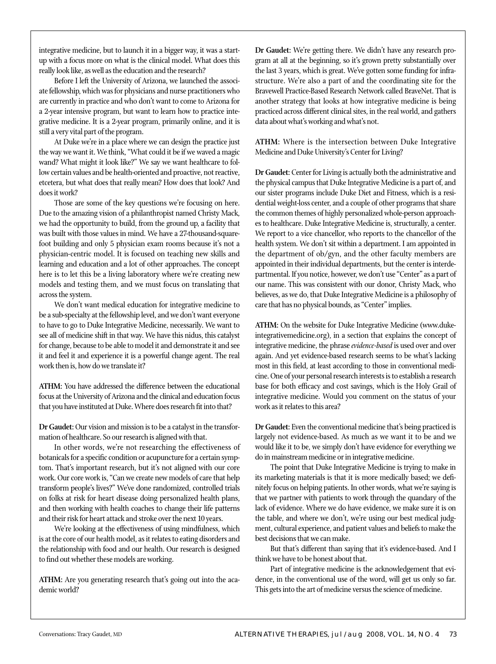integrative medicine, but to launch it in a bigger way, it was a startup with a focus more on what is the clinical model. What does this really look like, as well as the education and the research?

Before I left the University of Arizona, we launched the associate fellowship, which was for physicians and nurse practitioners who are currently in practice and who don't want to come to Arizona for a 2-year intensive program, but want to learn how to practice integrative medicine. It is a 2-year program, primarily online, and it is still a very vital part of the program.

At Duke we're in a place where we can design the practice just the way we want it. We think, "What could it be if we waved a magic wand? What might it look like?" We say we want healthcare to follow certain values and be health-oriented and proactive, not reactive, etcetera, but what does that really mean? How does that look? And does it work?

Those are some of the key questions we're focusing on here. Due to the amazing vision of a philanthropist named Christy Mack, we had the opportunity to build, from the ground up, a facility that was built with those values in mind. We have a 27-thousand-squarefoot building and only 5 physician exam rooms because it's not a physician-centric model. It is focused on teaching new skills and learning and education and a lot of other approaches. The concept here is to let this be a living laboratory where we're creating new models and testing them, and we must focus on translating that across the system.

We don't want medical education for integrative medicine to be a sub-specialty at the fellowship level, and we don't want everyone to have to go to Duke Integrative Medicine, necessarily. We want to see all of medicine shift in that way. We have this nidus, this catalyst for change, because to be able to model it and demonstrate it and see it and feel it and experience it is a powerful change agent. The real work then is, how do we translate it?

**ATHM:** You have addressed the difference between the educational focus at the University of Arizona and the clinical and education focus that you have instituted at Duke. Where does research fit into that?

**Dr Gaudet:** Our vision and mission is to be a catalyst in the transformation of healthcare. So our research is aligned with that.

In other words, we're not researching the effectiveness of botanicals for a specific condition or acupuncture for a certain symptom. That's important research, but it's not aligned with our core work. Our core work is, "Can we create new models of care that help transform people's lives?" We've done randomized, controlled trials on folks at risk for heart disease doing personalized health plans, and then working with health coaches to change their life patterns and their risk for heart attack and stroke over the next 10 years.

We're looking at the effectiveness of using mindfulness, which is at the core of our health model, as it relates to eating disorders and the relationship with food and our health. Our research is designed to find out whether these models are working.

**ATHM:** Are you generating research that's going out into the academic world?

**Dr Gaudet:** We're getting there. We didn't have any research program at all at the beginning, so it's grown pretty substantially over the last 3 years, which is great. We've gotten some funding for infrastructure. We're also a part of and the coordinating site for the Bravewell Practice-Based Research Network called BraveNet. That is another strategy that looks at how integrative medicine is being practiced across different clinical sites, in the real world, and gathers data about what's working and what's not.

**ATHM:** Where is the intersection between Duke Integrative Medicine and Duke University's Center for Living?

**Dr Gaudet:** Center for Living is actually both the administrative and the physical campus that Duke Integrative Medicine is a part of, and our sister programs include Duke Diet and Fitness, which is a residential weight-loss center, and a couple of other programs that share the common themes of highly personalized whole-person approaches to healthcare. Duke Integrative Medicine is, structurally, a center. We report to a vice chancellor, who reports to the chancellor of the health system. We don't sit within a department. I am appointed in the department of ob/gyn, and the other faculty members are appointed in their individual departments, but the center is interdepartmental. If you notice, however, we don't use "Center" as a part of our name. This was consistent with our donor, Christy Mack, who believes, as we do, that Duke Integrative Medicine is a philosophy of care that has no physical bounds, as "Center" implies.

**ATHM:** On the website for Duke Integrative Medicine (www.dukeintegrativemedicine.org), in a section that explains the concept of integrative medicine, the phrase *evidence-based* is used over and over again. And yet evidence-based research seems to be what's lacking most in this field, at least according to those in conventional medicine. One of your personal research interests is to establish a research base for both efficacy and cost savings, which is the Holy Grail of integrative medicine. Would you comment on the status of your work as it relates to this area?

**Dr Gaudet:** Even the conventional medicine that's being practiced is largely not evidence-based. As much as we want it to be and we would like it to be, we simply don't have evidence for everything we do in mainstream medicine or in integrative medicine.

The point that Duke Integrative Medicine is trying to make in its marketing materials is that it is more medically based; we definitely focus on helping patients. In other words, what we're saying is that we partner with patients to work through the quandary of the lack of evidence. Where we do have evidence, we make sure it is on the table, and where we don't, we're using our best medical judgment, cultural experience, and patient values and beliefs to make the best decisions that we can make.

But that's different than saying that it's evidence-based. And I think we have to be honest about that.

Part of integrative medicine is the acknowledgement that evidence, in the conventional use of the word, will get us only so far. This gets into the art of medicine versus the science of medicine.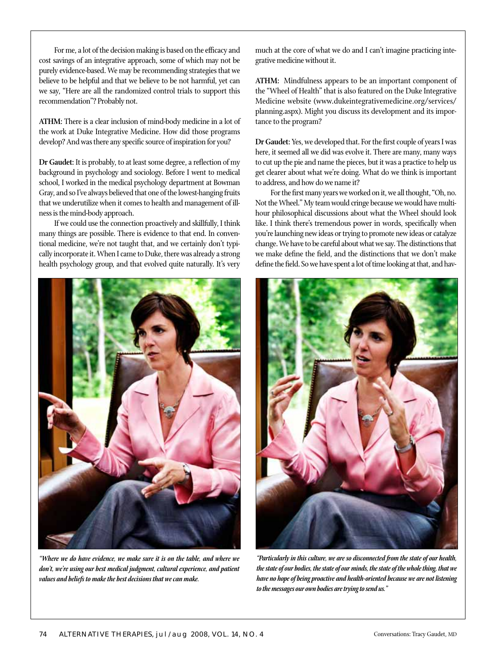For me, a lot of the decision making is based on the efficacy and cost savings of an integrative approach, some of which may not be purely evidence-based. We may be recommending strategies that we believe to be helpful and that we believe to be not harmful, yet can we say, "Here are all the randomized control trials to support this recommendation"? Probably not.

**ATHM:** There is a clear inclusion of mind-body medicine in a lot of the work at Duke Integrative Medicine. How did those programs develop? And was there any specific source of inspiration for you?

**Dr Gaudet:** It is probably, to at least some degree, a reflection of my background in psychology and sociology. Before I went to medical school, I worked in the medical psychology department at Bowman Gray, and so I've always believed that one of the lowest-hanging fruits that we underutilize when it comes to health and management of illness is the mind-body approach.

If we could use the connection proactively and skillfully, I think many things are possible. There is evidence to that end. In conventional medicine, we're not taught that, and we certainly don't typically incorporate it. When I came to Duke, there was already a strong health psychology group, and that evolved quite naturally. It's very



*"Where we do have evidence, we make sure it is on the table, and where we don't, we're using our best medical judgment, cultural experience, and patient values and beliefs to make the best decisions that we can make.*

much at the core of what we do and I can't imagine practicing integrative medicine without it.

**ATHM:** Mindfulness appears to be an important component of the "Wheel of Health" that is also featured on the Duke Integrative Medicine website (www.dukeintegrativemedicine.org/services/ planning.aspx). Might you discuss its development and its importance to the program?

Dr Gaudet: Yes, we developed that. For the first couple of years I was here, it seemed all we did was evolve it. There are many, many ways to cut up the pie and name the pieces, but it was a practice to help us get clearer about what we're doing. What do we think is important to address, and how do we name it?

For the first many years we worked on it, we all thought, "Oh, no. Not the Wheel." My team would cringe because we would have multihour philosophical discussions about what the Wheel should look like. I think there's tremendous power in words, specifically when you're launching new ideas or trying to promote new ideas or catalyze change. We have to be careful about what we say. The distinctions that we make define the field, and the distinctions that we don't make define the field. So we have spent a lot of time looking at that, and hav-



*"Particularly in this culture, we are so disconnected from the state of our health, the state of our bodies, the state of our minds, the state of the whole thing, that we have no hope of being proactive and health-oriented because we are not listening to the messages our own bodies are trying to send us."*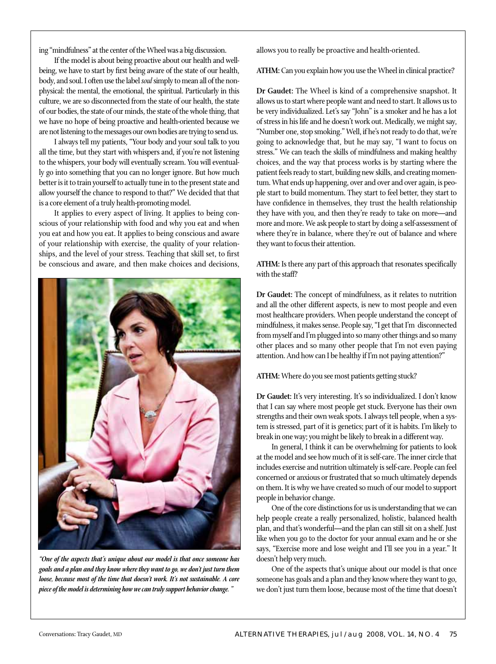ing "mindfulness" at the center of the Wheel was a big discussion.

If the model is about being proactive about our health and wellbeing, we have to start by first being aware of the state of our health, body, and soul. I often use the label *soul* simply to mean all of the nonphysical: the mental, the emotional, the spiritual. Particularly in this culture, we are so disconnected from the state of our health, the state of our bodies, the state of our minds, the state of the whole thing, that we have no hope of being proactive and health-oriented because we are not listening to the messages our own bodies are trying to send us.

I always tell my patients, "Your body and your soul talk to you all the time, but they start with whispers and, if you're not listening to the whispers, your body will eventually scream. You will eventually go into something that you can no longer ignore. But how much better is it to train yourself to actually tune in to the present state and allow yourself the chance to respond to that?" We decided that that is a core element of a truly health-promoting model.

It applies to every aspect of living. It applies to being conscious of your relationship with food and why you eat and when you eat and how you eat. It applies to being conscious and aware of your relationship with exercise, the quality of your relationships, and the level of your stress. Teaching that skill set, to first be conscious and aware, and then make choices and decisions,



*"One of the aspects that's unique about our model is that once someone has goals and a plan and they know where they want to go, we don't just turn them loose, because most of the time that doesn't work. It's not sustainable. A core piece of the model is determining how we can truly support behavior change. "*

allows you to really be proactive and health-oriented.

**ATHM:** Can you explain how you use the Wheel in clinical practice?

**Dr Gaudet:** The Wheel is kind of a comprehensive snapshot. It allows us to start where people want and need to start. It allows us to be very individualized. Let's say "John" is a smoker and he has a lot of stress in his life and he doesn't work out. Medically, we might say, "Number one, stop smoking." Well, if he's not ready to do that, we're going to acknowledge that, but he may say, "I want to focus on stress." We can teach the skills of mindfulness and making healthy choices, and the way that process works is by starting where the patient feels ready to start, building new skills, and creating momentum. What ends up happening, over and over and over again, is people start to build momentum. They start to feel better, they start to have confidence in themselves, they trust the health relationship they have with you, and then they're ready to take on more—and more and more. We ask people to start by doing a self-assessment of where they're in balance, where they're out of balance and where they want to focus their attention.

ATHM: Is there any part of this approach that resonates specifically with the staff?

**Dr Gaudet:** The concept of mindfulness, as it relates to nutrition and all the other different aspects, is new to most people and even most healthcare providers. When people understand the concept of mindfulness, it makes sense. People say, "I get that I'm disconnected from myself and I'm plugged into so many other things and so many other places and so many other people that I'm not even paying attention. And how can I be healthy if I'm not paying attention?"

#### **ATHM:** Where do you see most patients getting stuck?

**Dr Gaudet:** It's very interesting. It's so individualized. I don't know that I can say where most people get stuck. Everyone has their own strengths and their own weak spots. I always tell people, when a system is stressed, part of it is genetics; part of it is habits. I'm likely to break in one way; you might be likely to break in a different way.

In general, I think it can be overwhelming for patients to look at the model and see how much of it is self-care. The inner circle that includes exercise and nutrition ultimately is self-care. People can feel concerned or anxious or frustrated that so much ultimately depends on them. It is why we have created so much of our model to support people in behavior change.

One of the core distinctions for us is understanding that we can help people create a really personalized, holistic, balanced health plan, and that's wonderful—and the plan can still sit on a shelf. Just like when you go to the doctor for your annual exam and he or she says, "Exercise more and lose weight and I'll see you in a year." It doesn't help very much.

One of the aspects that's unique about our model is that once someone has goals and a plan and they know where they want to go, we don't just turn them loose, because most of the time that doesn't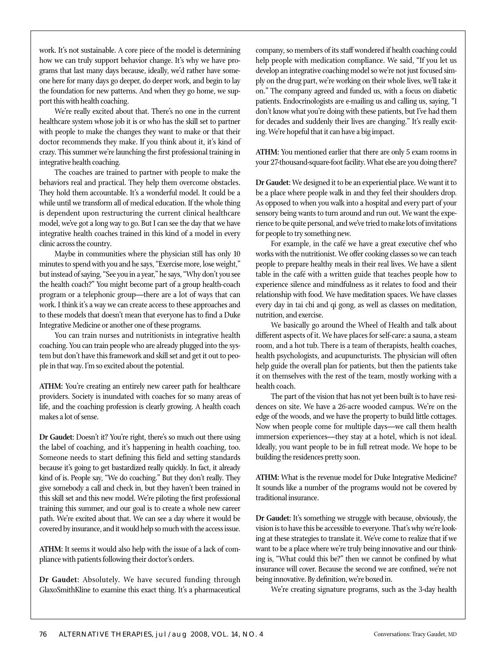work. It's not sustainable. A core piece of the model is determining how we can truly support behavior change. It's why we have programs that last many days because, ideally, we'd rather have someone here for many days go deeper, do deeper work, and begin to lay the foundation for new patterns. And when they go home, we support this with health coaching.

We're really excited about that. There's no one in the current healthcare system whose job it is or who has the skill set to partner with people to make the changes they want to make or that their doctor recommends they make. If you think about it, it's kind of crazy. This summer we're launching the first professional training in integrative health coaching.

The coaches are trained to partner with people to make the behaviors real and practical. They help them overcome obstacles. They hold them accountable. It's a wonderful model. It could be a while until we transform all of medical education. If the whole thing is dependent upon restructuring the current clinical healthcare model, we've got a long way to go. But I can see the day that we have integrative health coaches trained in this kind of a model in every clinic across the country.

Maybe in communities where the physician still has only 10 minutes to spend with you and he says, "Exercise more, lose weight," but instead of saying, "See you in a year," he says, "Why don't you see the health coach?" You might become part of a group health-coach program or a telephonic group—there are a lot of ways that can work. I think it's a way we can create access to these approaches and to these models that doesn't mean that everyone has to find a Duke Integrative Medicine or another one of these programs.

You can train nurses and nutritionists in integrative health coaching. You can train people who are already plugged into the system but don't have this framework and skill set and get it out to people in that way. I'm so excited about the potential.

**ATHM:** You're creating an entirely new career path for healthcare providers. Society is inundated with coaches for so many areas of life, and the coaching profession is clearly growing. A health coach makes a lot of sense.

**Dr Gaudet:** Doesn't it? You're right, there's so much out there using the label of coaching, and it's happening in health coaching, too. Someone needs to start defining this field and setting standards because it's going to get bastardized really quickly. In fact, it already kind of is. People say, "We do coaching." But they don't really. They give somebody a call and check in, but they haven't been trained in this skill set and this new model. We're piloting the first professional training this summer, and our goal is to create a whole new career path. We're excited about that. We can see a day where it would be covered by insurance, and it would help so much with the access issue.

**ATHM:** It seems it would also help with the issue of a lack of compliance with patients following their doctor's orders.

**Dr Gaudet:** Absolutely. We have secured funding through GlaxoSmithKline to examine this exact thing. It's a pharmaceutical

company, so members of its staff wondered if health coaching could help people with medication compliance. We said, "If you let us develop an integrative coaching model so we're not just focused simply on the drug part, we're working on their whole lives, we'll take it on." The company agreed and funded us, with a focus on diabetic patients. Endocrinologists are e-mailing us and calling us, saying, "I don't know what you're doing with these patients, but I've had them for decades and suddenly their lives are changing." It's really exciting. We're hopeful that it can have a big impact.

**ATHM:** You mentioned earlier that there are only 5 exam rooms in your 27-thousand-square-foot facility. What else are you doing there?

**Dr Gaudet:** We designed it to be an experiential place. We want it to be a place where people walk in and they feel their shoulders drop. As opposed to when you walk into a hospital and every part of your sensory being wants to turn around and run out. We want the experience to be quite personal, and we've tried to make lots of invitations for people to try something new.

For example, in the café we have a great executive chef who works with the nutritionist. We offer cooking classes so we can teach people to prepare healthy meals in their real lives. We have a silent table in the café with a written guide that teaches people how to experience silence and mindfulness as it relates to food and their relationship with food. We have meditation spaces. We have classes every day in tai chi and qi gong, as well as classes on meditation, nutrition, and exercise.

We basically go around the Wheel of Health and talk about different aspects of it. We have places for self-care: a sauna, a steam room, and a hot tub. There is a team of therapists, health coaches, health psychologists, and acupuncturists. The physician will often help guide the overall plan for patients, but then the patients take it on themselves with the rest of the team, mostly working with a health coach.

The part of the vision that has not yet been built is to have residences on site. We have a 26-acre wooded campus. We're on the edge of the woods, and we have the property to build little cottages. Now when people come for multiple days—we call them health immersion experiences—they stay at a hotel, which is not ideal. Ideally, you want people to be in full retreat mode. We hope to be building the residences pretty soon.

**ATHM:** What is the revenue model for Duke Integrative Medicine? It sounds like a number of the programs would not be covered by traditional insurance.

**Dr Gaudet:** It's something we struggle with because, obviously, the vision is to have this be accessible to everyone. That's why we're looking at these strategies to translate it. We've come to realize that if we want to be a place where we're truly being innovative and our thinking is, "What could this be?" then we cannot be confined by what insurance will cover. Because the second we are confined, we're not being innovative. By definition, we're boxed in.

We're creating signature programs, such as the 3-day health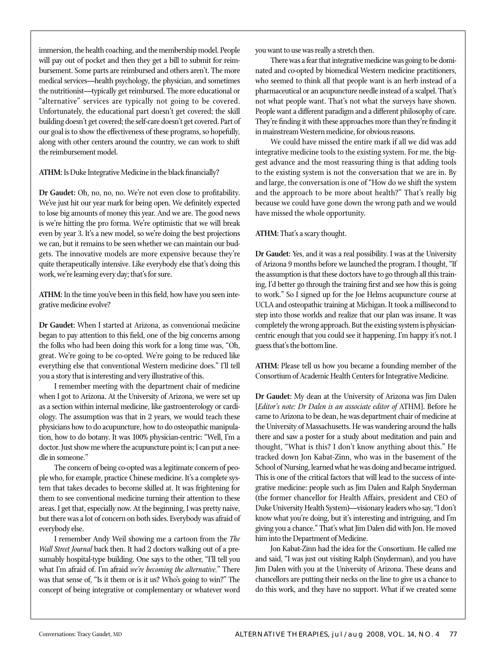immersion, the health coaching, and the membership model. People will pay out of pocket and then they get a bill to submit for reimbursement. Some parts are reimbursed and others aren't. The more medical services—health psychology, the physician, and sometimes the nutritionist—typically get reimbursed. The more educational or "alternative" services are typically not going to be covered. Unfortunately, the educational part doesn't get covered; the skill building doesn't get covered; the self-care doesn't get covered. Part of our goal is to show the effectiveness of these programs, so hopefully, along with other centers around the country, we can work to shift the reimbursement model.

#### ATHM: Is Duke Integrative Medicine in the black financially?

Dr Gaudet: Oh, no, no, no. We're not even close to profitability. We've just hit our year mark for being open. We definitely expected to lose big amounts of money this year. And we are. The good news is we're hitting the pro forma. We're optimistic that we will break even by year 3. It's a new model, so we're doing the best projections we can, but it remains to be seen whether we can maintain our budgets. The innovative models are more expensive because they're quite therapeutically intensive. Like everybody else that's doing this work, we're learning every day; that's for sure.

ATHM: In the time you've been in this field, how have you seen integrative medicine evolve?

**Dr Gaudet:** When I started at Arizona, as conventional medicine began to pay attention to this field, one of the big concerns among the folks who had been doing this work for a long time was, "Oh, great. We're going to be co-opted. We're going to be reduced like everything else that conventional Western medicine does." I'll tell you a story that is interesting and very illustrative of this.

I remember meeting with the department chair of medicine when I got to Arizona. At the University of Arizona, we were set up as a section within internal medicine, like gastroenterology or cardiology. The assumption was that in 2 years, we would teach these physicians how to do acupuncture, how to do osteopathic manipulation, how to do botany. It was 100% physician-centric: "Well, I'm a doctor. Just show me where the acupuncture point is; I can put a needle in someone."

The concern of being co-opted was a legitimate concern of people who, for example, practice Chinese medicine. It's a complete system that takes decades to become skilled at. It was frightening for them to see conventional medicine turning their attention to these areas. I get that, especially now. At the beginning, I was pretty naive, but there was a lot of concern on both sides. Everybody was afraid of everybody else.

I remember Andy Weil showing me a cartoon from the *The Wall Street Journal* back then. It had 2 doctors walking out of a presumably hospital-type building. One says to the other, "I'll tell you what I'm afraid of. I'm afraid *we're becoming the alternative.*" There was that sense of, "Is it them or is it us? Who's going to win?" The concept of being integrative or complementary or whatever word you want to use was really a stretch then.

There was a fear that integrative medicine was going to be dominated and co-opted by biomedical Western medicine practitioners, who seemed to think all that people want is an herb instead of a pharmaceutical or an acupuncture needle instead of a scalpel. That's not what people want. That's not what the surveys have shown. People want a different paradigm and a different philosophy of care. They're finding it with these approaches more than they're finding it in mainstream Western medicine, for obvious reasons.

We could have missed the entire mark if all we did was add integrative medicine tools to the existing system. For me, the biggest advance and the most reassuring thing is that adding tools to the existing system is not the conversation that we are in. By and large, the conversation is one of "How do we shift the system and the approach to be more about health?" That's really big because we could have gone down the wrong path and we would have missed the whole opportunity.

#### **ATHM:** That's a scary thought.

**Dr Gaudet:** Yes, and it was a real possibility. I was at the University of Arizona 9 months before we launched the program. I thought, "If the assumption is that these doctors have to go through all this training, I'd better go through the training first and see how this is going to work." So I signed up for the Joe Helms acupuncture course at UCLA and osteopathic training at Michigan. It took a millisecond to step into those worlds and realize that our plan was insane. It was completely the wrong approach. But the existing system is physiciancentric enough that you could see it happening. I'm happy it's not. I guess that's the bottom line.

**ATHM:** Please tell us how you became a founding member of the Consortium of Academic Health Centers for Integrative Medicine.

**Dr Gaudet:** My dean at the University of Arizona was Jim Dalen [*Editor's note: Dr Dalen is an associate editor of* ATHM]. Before he came to Arizona to be dean, he was department chair of medicine at the University of Massachusetts. He was wandering around the halls there and saw a poster for a study about meditation and pain and thought, "What is this? I don't know anything about this." He tracked down Jon Kabat-Zinn, who was in the basement of the School of Nursing, learned what he was doing and became intrigued. This is one of the critical factors that will lead to the success of integrative medicine: people such as Jim Dalen and Ralph Snyderman (the former chancellor for Health Affairs, president and CEO of Duke University Health System)—visionary leaders who say, "I don't know what you're doing, but it's interesting and intriguing, and I'm giving you a chance." That's what Jim Dalen did with Jon. He moved him into the Department of Medicine.

Jon Kabat-Zinn had the idea for the Consortium. He called me and said, "I was just out visiting Ralph (Snyderman), and you have Jim Dalen with you at the University of Arizona. These deans and chancellors are putting their necks on the line to give us a chance to do this work, and they have no support. What if we created some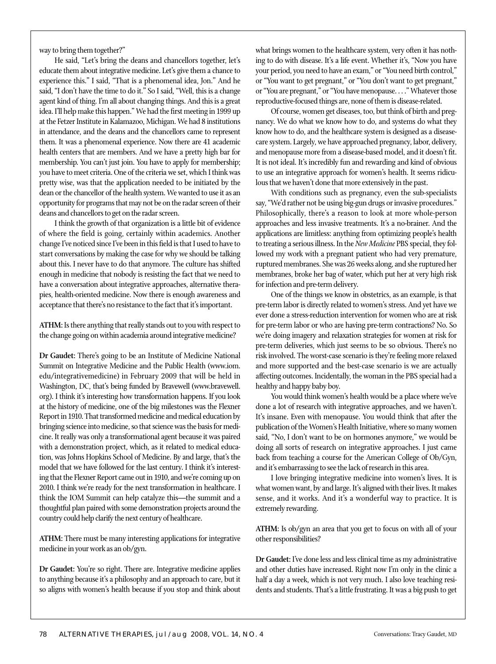way to bring them together?"

He said, "Let's bring the deans and chancellors together, let's educate them about integrative medicine. Let's give them a chance to experience this." I said, "That is a phenomenal idea, Jon." And he said, "I don't have the time to do it." So I said, "Well, this is a change agent kind of thing. I'm all about changing things. And this is a great idea. I'll help make this happen." We had the first meeting in 1999 up at the Fetzer Institute in Kalamazoo, Michigan. We had 8 institutions in attendance, and the deans and the chancellors came to represent them. It was a phenomenal experience. Now there are 41 academic health centers that are members. And we have a pretty high bar for membership. You can't just join. You have to apply for membership; you have to meet criteria. One of the criteria we set, which I think was pretty wise, was that the application needed to be initiated by the dean or the chancellor of the health system. We wanted to use it as an opportunity for programs that may not be on the radar screen of their deans and chancellors to get on the radar screen.

I think the growth of that organization is a little bit of evidence of where the field is going, certainly within academics. Another change I've noticed since I've been in this field is that I used to have to start conversations by making the case for why we should be talking about this. I never have to do that anymore. The culture has shifted enough in medicine that nobody is resisting the fact that we need to have a conversation about integrative approaches, alternative therapies, health-oriented medicine. Now there is enough awareness and acceptance that there's no resistance to the fact that it's important.

**ATHM:** Is there anything that really stands out to you with respect to the change going on within academia around integrative medicine?

**Dr Gaudet:** There's going to be an Institute of Medicine National Summit on Integrative Medicine and the Public Health (www.iom. edu/integrativemedicine) in February 2009 that will be held in Washington, DC, that's being funded by Bravewell (www.bravewell. org). I think it's interesting how transformation happens. If you look at the history of medicine, one of the big milestones was the Flexner Report in 1910. That transformed medicine and medical education by bringing science into medicine, so that science was the basis for medicine. It really was only a transformational agent because it was paired with a demonstration project, which, as it related to medical education, was Johns Hopkins School of Medicine. By and large, that's the model that we have followed for the last century. I think it's interesting that the Flexner Report came out in 1910, and we're coming up on 2010. I think we're ready for the next transformation in healthcare. I think the IOM Summit can help catalyze this—the summit and a thoughtful plan paired with some demonstration projects around the country could help clarify the next century of healthcare.

**ATHM:** There must be many interesting applications for integrative medicine in your work as an ob/gyn.

**Dr Gaudet:** You're so right. There are. Integrative medicine applies to anything because it's a philosophy and an approach to care, but it so aligns with women's health because if you stop and think about

what brings women to the healthcare system, very often it has nothing to do with disease. It's a life event. Whether it's, "Now you have your period, you need to have an exam," or "You need birth control," or "You want to get pregnant," or "You don't want to get pregnant," or "You are pregnant," or "You have menopause. . . ." Whatever those reproductive-focused things are, none of them is disease-related.

Of course, women get diseases, too, but think of birth and pregnancy. We do what we know how to do, and systems do what they know how to do, and the healthcare system is designed as a diseasecare system. Largely, we have approached pregnancy, labor, delivery, and menopause more from a disease-based model, and it doesn't fit. It is not ideal. It's incredibly fun and rewarding and kind of obvious to use an integrative approach for women's health. It seems ridiculous that we haven't done that more extensively in the past.

With conditions such as pregnancy, even the sub-specialists say, "We'd rather not be using big-gun drugs or invasive procedures." Philosophically, there's a reason to look at more whole-person approaches and less invasive treatments. It's a no-brainer. And the applications are limitless: anything from optimizing people's health to treating a serious illness. In the *New Medicine* PBS special, they followed my work with a pregnant patient who had very premature, ruptured membranes. She was 26 weeks along, and she ruptured her membranes, broke her bag of water, which put her at very high risk for infection and pre-term delivery.

One of the things we know in obstetrics, as an example, is that pre-term labor is directly related to women's stress. And yet have we ever done a stress-reduction intervention for women who are at risk for pre-term labor or who are having pre-term contractions? No. So we're doing imagery and relaxation strategies for women at risk for pre-term deliveries, which just seems to be so obvious. There's no risk involved. The worst-case scenario is they're feeling more relaxed and more supported and the best-case scenario is we are actually affecting outcomes. Incidentally, the woman in the PBS special had a healthy and happy baby boy.

You would think women's health would be a place where we've done a lot of research with integrative approaches, and we haven't. It's insane. Even with menopause. You would think that after the publication of the Women's Health Initiative, where so many women said, "No, I don't want to be on hormones anymore," we would be doing all sorts of research on integrative approaches. I just came back from teaching a course for the American College of Ob/Gyn, and it's embarrassing to see the lack of research in this area.

I love bringing integrative medicine into women's lives. It is what women want, by and large. It's aligned with their lives. It makes sense, and it works. And it's a wonderful way to practice. It is extremely rewarding.

**ATHM:** Is ob/gyn an area that you get to focus on with all of your other responsibilities?

**Dr Gaudet:** I've done less and less clinical time as my administrative and other duties have increased. Right now I'm only in the clinic a half a day a week, which is not very much. I also love teaching residents and students. That's a little frustrating. It was a big push to get